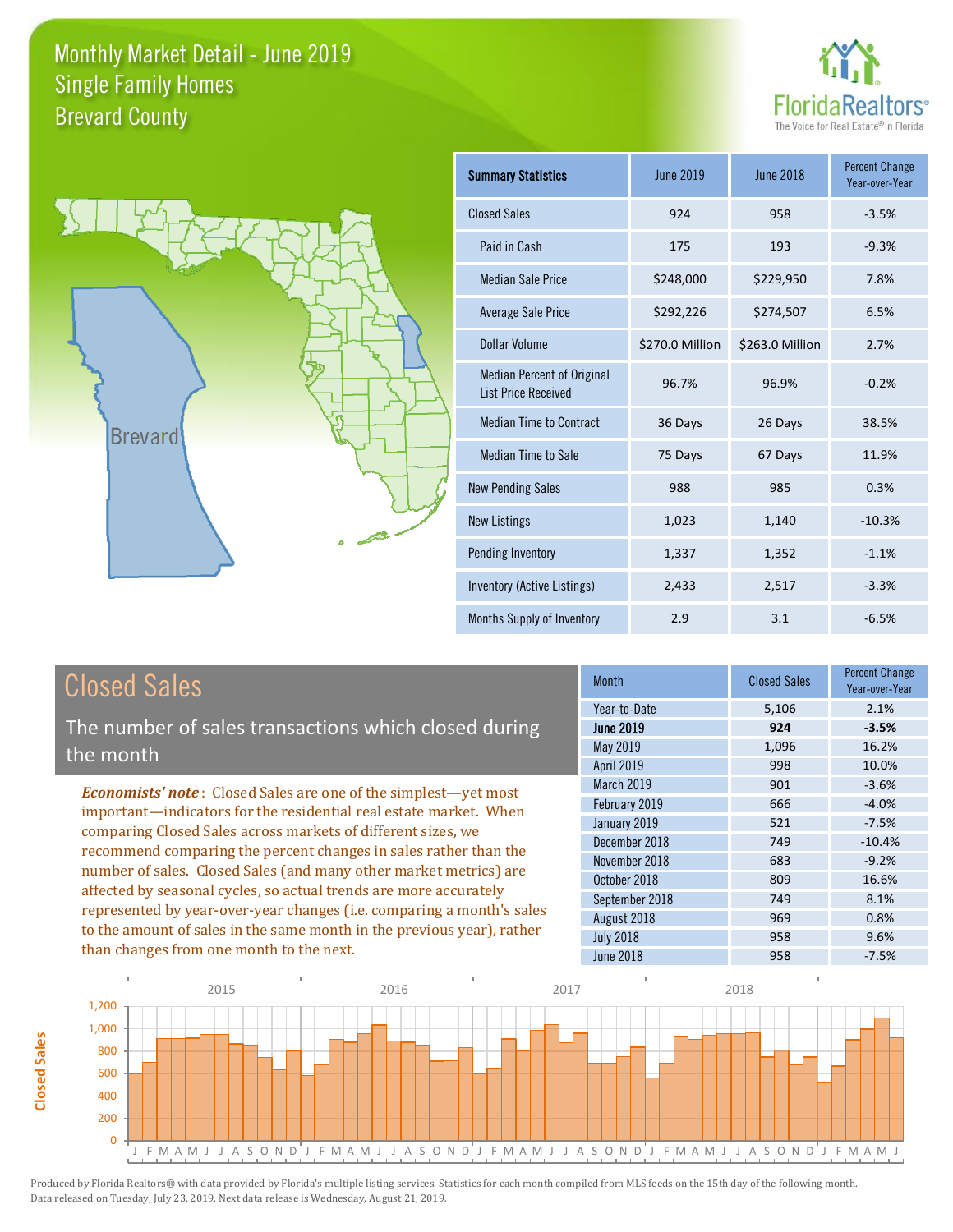



| Summary Statistics                                              | <b>June 2019</b> | <b>June 2018</b> | <b>Percent Change</b><br>Year-over-Year |
|-----------------------------------------------------------------|------------------|------------------|-----------------------------------------|
| <b>Closed Sales</b>                                             | 924              | 958              | $-3.5%$                                 |
| Paid in Cash                                                    | 175              | 193              | $-9.3%$                                 |
| Median Sale Price                                               | \$248,000        | \$229,950        | 7.8%                                    |
| Average Sale Price                                              | \$292,226        | \$274,507        | 6.5%                                    |
| Dollar Volume                                                   | \$270.0 Million  | \$263.0 Million  | 2.7%                                    |
| <b>Median Percent of Original</b><br><b>List Price Received</b> | 96.7%            | 96.9%            | $-0.2%$                                 |
| <b>Median Time to Contract</b>                                  | 36 Days          | 26 Days          | 38.5%                                   |
| Median Time to Sale                                             | 75 Days          | 67 Days          | 11.9%                                   |
| <b>New Pending Sales</b>                                        | 988              | 985              | 0.3%                                    |
| <b>New Listings</b>                                             | 1,023            | 1,140            | $-10.3%$                                |
| Pending Inventory                                               | 1,337            | 1,352            | $-1.1%$                                 |
| Inventory (Active Listings)                                     | 2,433            | 2,517            | $-3.3%$                                 |
| Months Supply of Inventory                                      | 2.9              | 3.1              | $-6.5%$                                 |

# Closed Sales

The number of sales transactions which closed during the month

*Economists' note* : Closed Sales are one of the simplest—yet most important—indicators for the residential real estate market. When comparing Closed Sales across markets of different sizes, we recommend comparing the percent changes in sales rather than the number of sales. Closed Sales (and many other market metrics) are affected by seasonal cycles, so actual trends are more accurately represented by year-over-year changes (i.e. comparing a month's sales to the amount of sales in the same month in the previous year), rather than changes from one month to the next.

| <b>Month</b>     | <b>Closed Sales</b> | <b>Percent Change</b><br>Year-over-Year |
|------------------|---------------------|-----------------------------------------|
| Year-to-Date     | 5,106               | 2.1%                                    |
| <b>June 2019</b> | 924                 | $-3.5%$                                 |
| <b>May 2019</b>  | 1,096               | 16.2%                                   |
| April 2019       | 998                 | 10.0%                                   |
| March 2019       | 901                 | $-3.6%$                                 |
| February 2019    | 666                 | $-4.0%$                                 |
| January 2019     | 521                 | $-7.5%$                                 |
| December 2018    | 749                 | $-10.4%$                                |
| November 2018    | 683                 | $-9.2%$                                 |
| October 2018     | 809                 | 16.6%                                   |
| September 2018   | 749                 | 8.1%                                    |
| August 2018      | 969                 | 0.8%                                    |
| <b>July 2018</b> | 958                 | 9.6%                                    |
| <b>June 2018</b> | 958                 | $-7.5%$                                 |

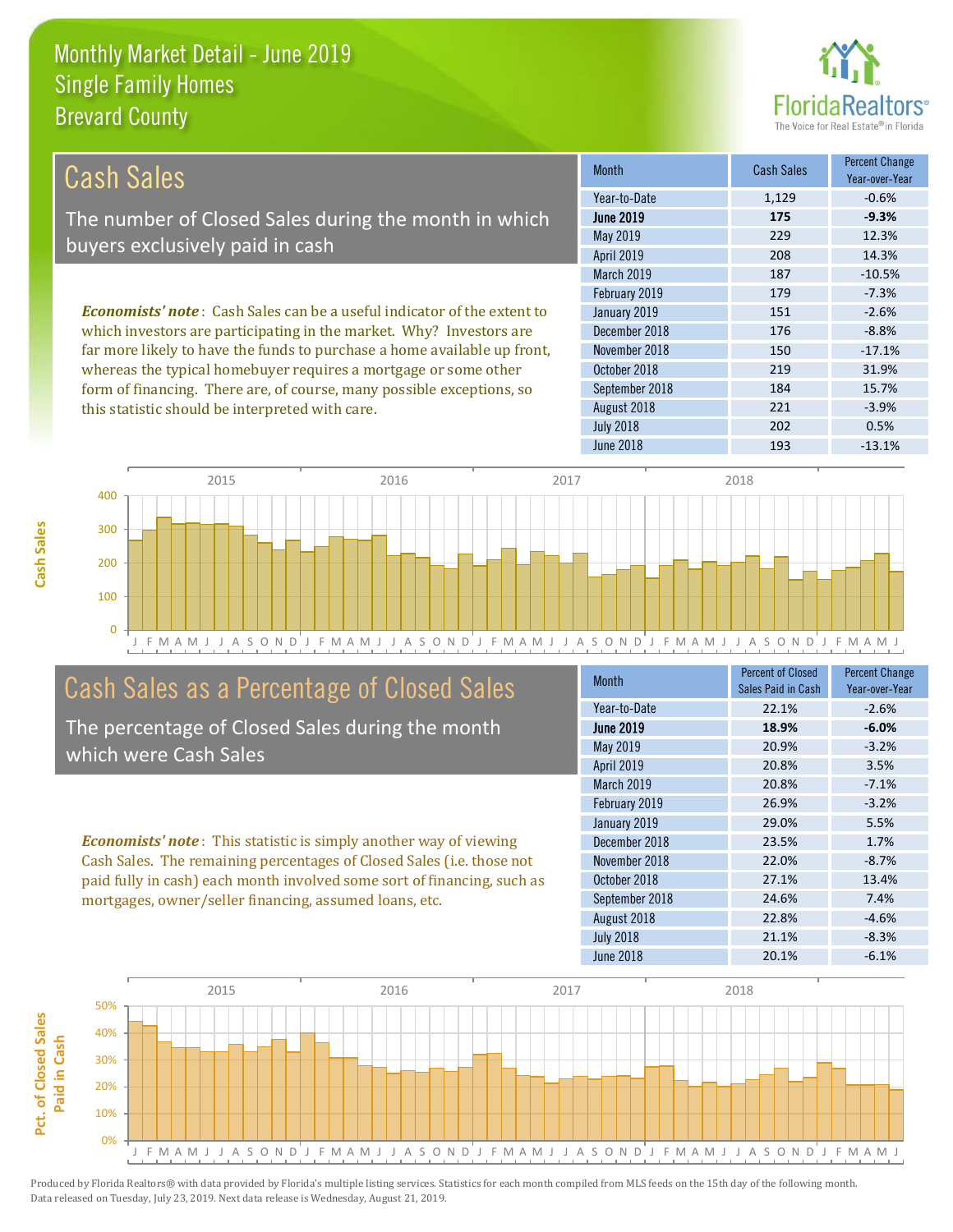this statistic should be interpreted with care.



221 -3.9%

| Cash Sales                                                                     | <b>Month</b>      | <b>Cash Sales</b> | <b>Percent Change</b><br>Year-over-Year |
|--------------------------------------------------------------------------------|-------------------|-------------------|-----------------------------------------|
|                                                                                | Year-to-Date      | 1,129             | $-0.6%$                                 |
| The number of Closed Sales during the month in which                           | <b>June 2019</b>  | 175               | $-9.3%$                                 |
| buyers exclusively paid in cash                                                | May 2019          | 229               | 12.3%                                   |
|                                                                                | <b>April 2019</b> | 208               | 14.3%                                   |
|                                                                                | <b>March 2019</b> | 187               | $-10.5%$                                |
|                                                                                | February 2019     | 179               | $-7.3%$                                 |
| <b>Economists' note:</b> Cash Sales can be a useful indicator of the extent to | January 2019      | 151               | $-2.6%$                                 |
| which investors are participating in the market. Why? Investors are            | December 2018     | 176               | $-8.8%$                                 |
| far more likely to have the funds to purchase a home available up front,       | November 2018     | 150               | $-17.1%$                                |
| whereas the typical homebuyer requires a mortgage or some other                | October 2018      | 219               | 31.9%                                   |
| form of financing. There are, of course, many possible exceptions, so          | September 2018    | 184               | 15.7%                                   |

J F M A M J J A S O N D J F M A M J J A S O N D J F M A M J J A S O N D J F M A M J J A S O N D J F M A M J 0 100 200 300 400 2015 2016 2017 2018

# Cash Sales as a Percentage of Closed Sales

The percentage of Closed Sales during the month which were Cash Sales

*Economists' note* : This statistic is simply another way of viewing Cash Sales. The remaining percentages of Closed Sales (i.e. those not paid fully in cash) each month involved some sort of financing, such as mortgages, owner/seller financing, assumed loans, etc.

| <b>Month</b>      | <b>Percent of Closed</b><br>Sales Paid in Cash | <b>Percent Change</b><br>Year-over-Year |
|-------------------|------------------------------------------------|-----------------------------------------|
| Year-to-Date      | 22.1%                                          | $-2.6%$                                 |
| <b>June 2019</b>  | 18.9%                                          | $-6.0%$                                 |
| May 2019          | 20.9%                                          | $-3.2%$                                 |
| <b>April 2019</b> | 20.8%                                          | 3.5%                                    |
| March 2019        | 20.8%                                          | $-7.1%$                                 |
| February 2019     | 26.9%                                          | $-3.2%$                                 |
| January 2019      | 29.0%                                          | 5.5%                                    |
| December 2018     | 23.5%                                          | 1.7%                                    |
| November 2018     | 22.0%                                          | $-8.7%$                                 |
| October 2018      | 27.1%                                          | 13.4%                                   |
| September 2018    | 24.6%                                          | 7.4%                                    |
| August 2018       | 22.8%                                          | $-4.6%$                                 |
| <b>July 2018</b>  | 21.1%                                          | $-8.3%$                                 |
| <b>June 2018</b>  | 20.1%                                          | $-6.1%$                                 |

June 2018 **193** -13.1%

July 2018 202 0.5%

August 2018

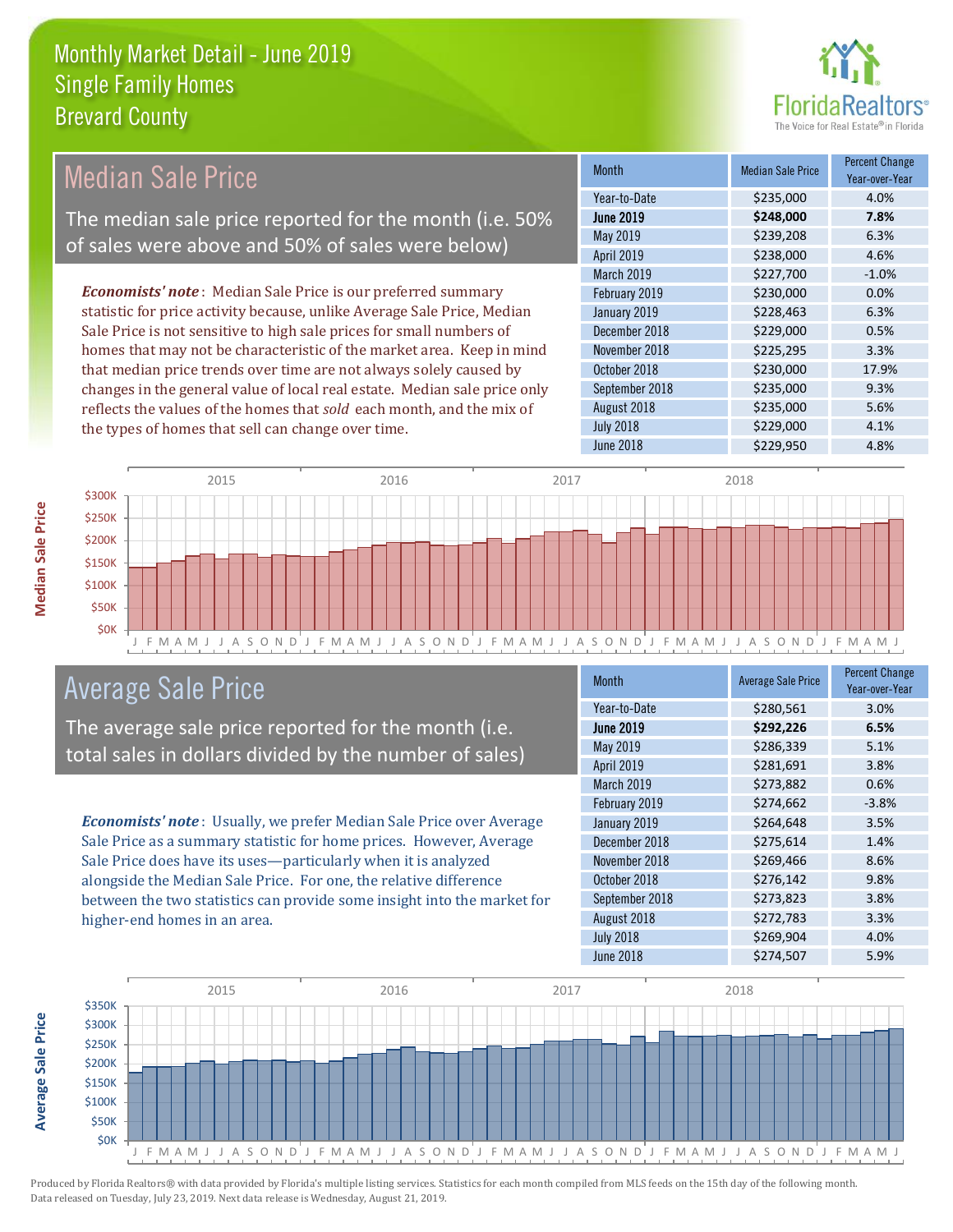

#### Month Median Sale Price Percent Change Year-over-Year June 2019 **\$248,000 7.8%** Year-to-Date \$235,000 4.0% November 2018 **\$225,295** 3.3% May 2019 **\$239,208** 6.3% April 2019 \$238,000 4.6% January 2019 **\$228,463** 6.3% December 2018 **\$229,000** 0.5% March 2019 **\$227,700** -1.0% February 2019 **\$230,000** \$230,000 0.0% October 2018 **\$230,000** 17.9% September 2018 **\$235,000** 9.3% August 2018 **\$235,000** 5.6% July 2018 **\$229,000** \$2.29,000 4.1% June 2018 **\$229,950** \$229,950 4.8% *Economists' note* : Median Sale Price is our preferred summary statistic for price activity because, unlike Average Sale Price, Median Sale Price is not sensitive to high sale prices for small numbers of homes that may not be characteristic of the market area. Keep in mind that median price trends over time are not always solely caused by changes in the general value of local real estate. Median sale price only reflects the values of the homes that *sold* each month, and the mix of the types of homes that sell can change over time. Median Sale Price The median sale price reported for the month (i.e. 50% of sales were above and 50% of sales were below)



# Average Sale Price

The average sale price reported for the month (i.e. total sales in dollars divided by the number of sales)

*Economists' note* : Usually, we prefer Median Sale Price over Average Sale Price as a summary statistic for home prices. However, Average Sale Price does have its uses—particularly when it is analyzed alongside the Median Sale Price. For one, the relative difference between the two statistics can provide some insight into the market for higher-end homes in an area.

| Month            | <b>Average Sale Price</b> | <b>Percent Change</b><br>Year-over-Year |
|------------------|---------------------------|-----------------------------------------|
| Year-to-Date     | \$280,561                 | 3.0%                                    |
| <b>June 2019</b> | \$292,226                 | 6.5%                                    |
| <b>May 2019</b>  | \$286,339                 | 5.1%                                    |
| April 2019       | \$281,691                 | 3.8%                                    |
| March 2019       | \$273,882                 | 0.6%                                    |
| February 2019    | \$274,662                 | $-3.8%$                                 |
| January 2019     | \$264,648                 | 3.5%                                    |
| December 2018    | \$275,614                 | 1.4%                                    |
| November 2018    | \$269,466                 | 8.6%                                    |
| October 2018     | \$276,142                 | 9.8%                                    |
| September 2018   | \$273,823                 | 3.8%                                    |
| August 2018      | \$272,783                 | 3.3%                                    |
| <b>July 2018</b> | \$269,904                 | 4.0%                                    |
| <b>June 2018</b> | \$274,507                 | 5.9%                                    |



**Average Sale Price**

**Average Sale Price**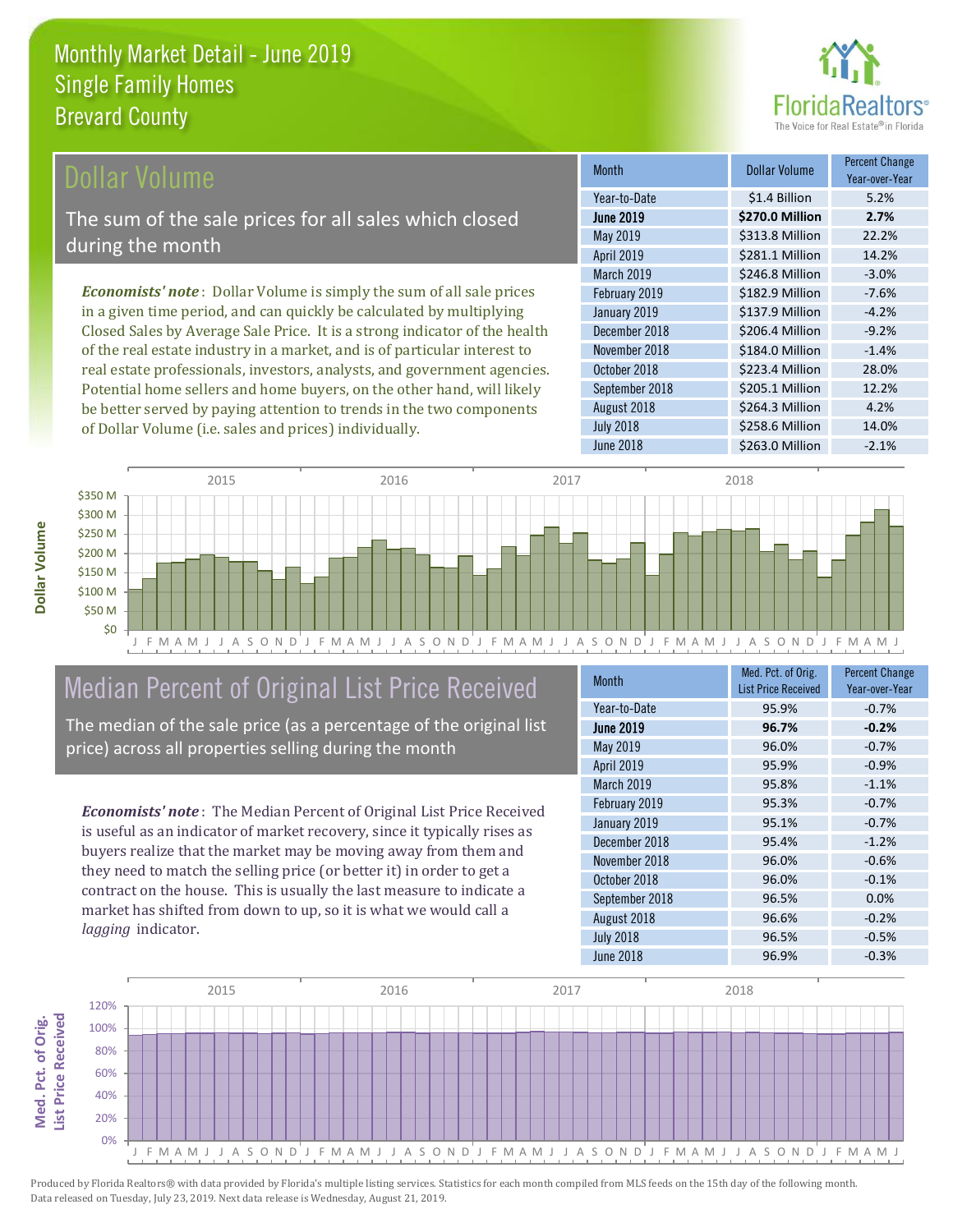

### **Ollar Volume**

The sum of the sale prices for all sales which closed during the month

*Economists' note* : Dollar Volume is simply the sum of all sale prices in a given time period, and can quickly be calculated by multiplying Closed Sales by Average Sale Price. It is a strong indicator of the health of the real estate industry in a market, and is of particular interest to real estate professionals, investors, analysts, and government agencies. Potential home sellers and home buyers, on the other hand, will likely be better served by paying attention to trends in the two components of Dollar Volume (i.e. sales and prices) individually.

| <b>Month</b>     | <b>Dollar Volume</b> | <b>Percent Change</b><br>Year-over-Year |
|------------------|----------------------|-----------------------------------------|
| Year-to-Date     | \$1.4 Billion        | 5.2%                                    |
| <b>June 2019</b> | \$270.0 Million      | 2.7%                                    |
| May 2019         | \$313.8 Million      | 22.2%                                   |
| April 2019       | \$281.1 Million      | 14.2%                                   |
| March 2019       | \$246.8 Million      | $-3.0%$                                 |
| February 2019    | \$182.9 Million      | $-7.6%$                                 |
| January 2019     | \$137.9 Million      | $-4.2%$                                 |
| December 2018    | \$206.4 Million      | $-9.2%$                                 |
| November 2018    | \$184.0 Million      | $-1.4%$                                 |
| October 2018     | \$223.4 Million      | 28.0%                                   |
| September 2018   | \$205.1 Million      | 12.2%                                   |
| August 2018      | \$264.3 Million      | 4.2%                                    |
| <b>July 2018</b> | \$258.6 Million      | 14.0%                                   |
| <b>June 2018</b> | \$263.0 Million      | $-2.1%$                                 |



# Median Percent of Original List Price Received

The median of the sale price (as a percentage of the original list price) across all properties selling during the month

*Economists' note* : The Median Percent of Original List Price Received is useful as an indicator of market recovery, since it typically rises as buyers realize that the market may be moving away from them and they need to match the selling price (or better it) in order to get a contract on the house. This is usually the last measure to indicate a market has shifted from down to up, so it is what we would call a *lagging* indicator.

| <b>Month</b>      | Med. Pct. of Orig.<br><b>List Price Received</b> | <b>Percent Change</b><br>Year-over-Year |
|-------------------|--------------------------------------------------|-----------------------------------------|
| Year-to-Date      | 95.9%                                            | $-0.7%$                                 |
| <b>June 2019</b>  | 96.7%                                            | $-0.2%$                                 |
| May 2019          | 96.0%                                            | $-0.7%$                                 |
| <b>April 2019</b> | 95.9%                                            | $-0.9%$                                 |
| March 2019        | 95.8%                                            | $-1.1%$                                 |
| February 2019     | 95.3%                                            | $-0.7%$                                 |
| January 2019      | 95.1%                                            | $-0.7%$                                 |
| December 2018     | 95.4%                                            | $-1.2%$                                 |
| November 2018     | 96.0%                                            | $-0.6%$                                 |
| October 2018      | 96.0%                                            | $-0.1%$                                 |
| September 2018    | 96.5%                                            | 0.0%                                    |
| August 2018       | 96.6%                                            | $-0.2%$                                 |
| <b>July 2018</b>  | 96.5%                                            | $-0.5%$                                 |
| June 2018         | 96.9%                                            | $-0.3%$                                 |

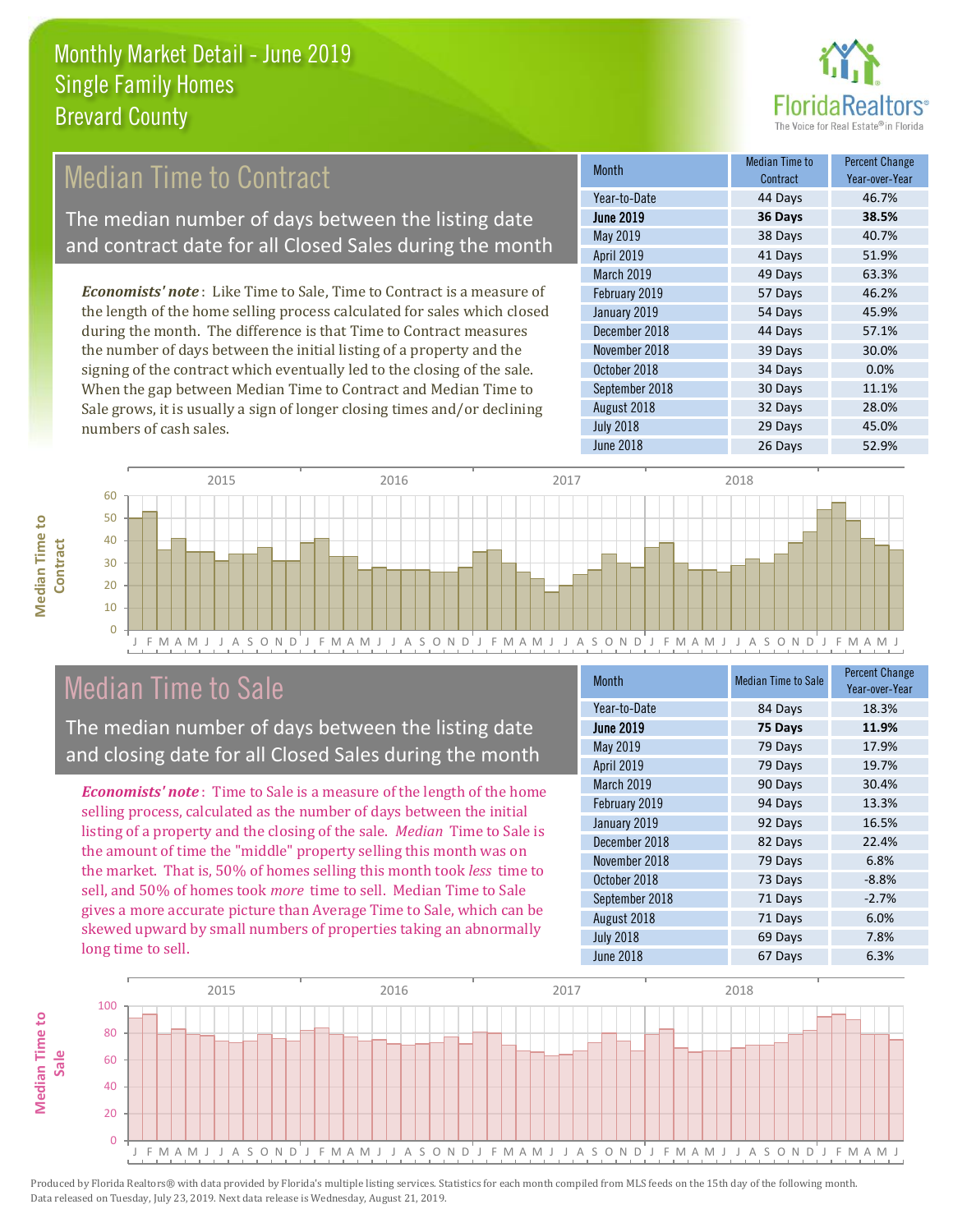

# Median Time to Contract

The median number of days between the listing date and contract date for all Closed Sales during the month

*Economists' note* : Like Time to Sale, Time to Contract is a measure of the length of the home selling process calculated for sales which closed during the month. The difference is that Time to Contract measures the number of days between the initial listing of a property and the signing of the contract which eventually led to the closing of the sale. When the gap between Median Time to Contract and Median Time to Sale grows, it is usually a sign of longer closing times and/or declining numbers of cash sales.

| <b>Month</b>     | <b>Median Time to</b><br>Contract | <b>Percent Change</b><br>Year-over-Year |
|------------------|-----------------------------------|-----------------------------------------|
| Year-to-Date     | 44 Days                           | 46.7%                                   |
| <b>June 2019</b> | 36 Days                           | 38.5%                                   |
| May 2019         | 38 Days                           | 40.7%                                   |
| April 2019       | 41 Days                           | 51.9%                                   |
| March 2019       | 49 Days                           | 63.3%                                   |
| February 2019    | 57 Days                           | 46.2%                                   |
| January 2019     | 54 Days                           | 45.9%                                   |
| December 2018    | 44 Days                           | 57.1%                                   |
| November 2018    | 39 Days                           | 30.0%                                   |
| October 2018     | 34 Days                           | 0.0%                                    |
| September 2018   | 30 Days                           | 11.1%                                   |
| August 2018      | 32 Days                           | 28.0%                                   |
| <b>July 2018</b> | 29 Days                           | 45.0%                                   |
| <b>June 2018</b> | 26 Days                           | 52.9%                                   |



# Median Time to Sale

**Median Time to Contract**

**Median Time to** 

The median number of days between the listing date and closing date for all Closed Sales during the month

*Economists' note* : Time to Sale is a measure of the length of the home selling process, calculated as the number of days between the initial listing of a property and the closing of the sale. *Median* Time to Sale is the amount of time the "middle" property selling this month was on the market. That is, 50% of homes selling this month took *less* time to sell, and 50% of homes took *more* time to sell. Median Time to Sale gives a more accurate picture than Average Time to Sale, which can be skewed upward by small numbers of properties taking an abnormally long time to sell.

| <b>Month</b>     | <b>Median Time to Sale</b> | <b>Percent Change</b><br>Year-over-Year |
|------------------|----------------------------|-----------------------------------------|
| Year-to-Date     | 84 Days                    | 18.3%                                   |
| <b>June 2019</b> | 75 Days                    | 11.9%                                   |
| May 2019         | 79 Days                    | 17.9%                                   |
| April 2019       | 79 Days                    | 19.7%                                   |
| March 2019       | 90 Days                    | 30.4%                                   |
| February 2019    | 94 Days                    | 13.3%                                   |
| January 2019     | 92 Days                    | 16.5%                                   |
| December 2018    | 82 Days                    | 22.4%                                   |
| November 2018    | 79 Days                    | 6.8%                                    |
| October 2018     | 73 Days                    | $-8.8%$                                 |
| September 2018   | 71 Days                    | $-2.7%$                                 |
| August 2018      | 71 Days                    | 6.0%                                    |
| <b>July 2018</b> | 69 Days                    | 7.8%                                    |
| June 2018        | 67 Days                    | 6.3%                                    |

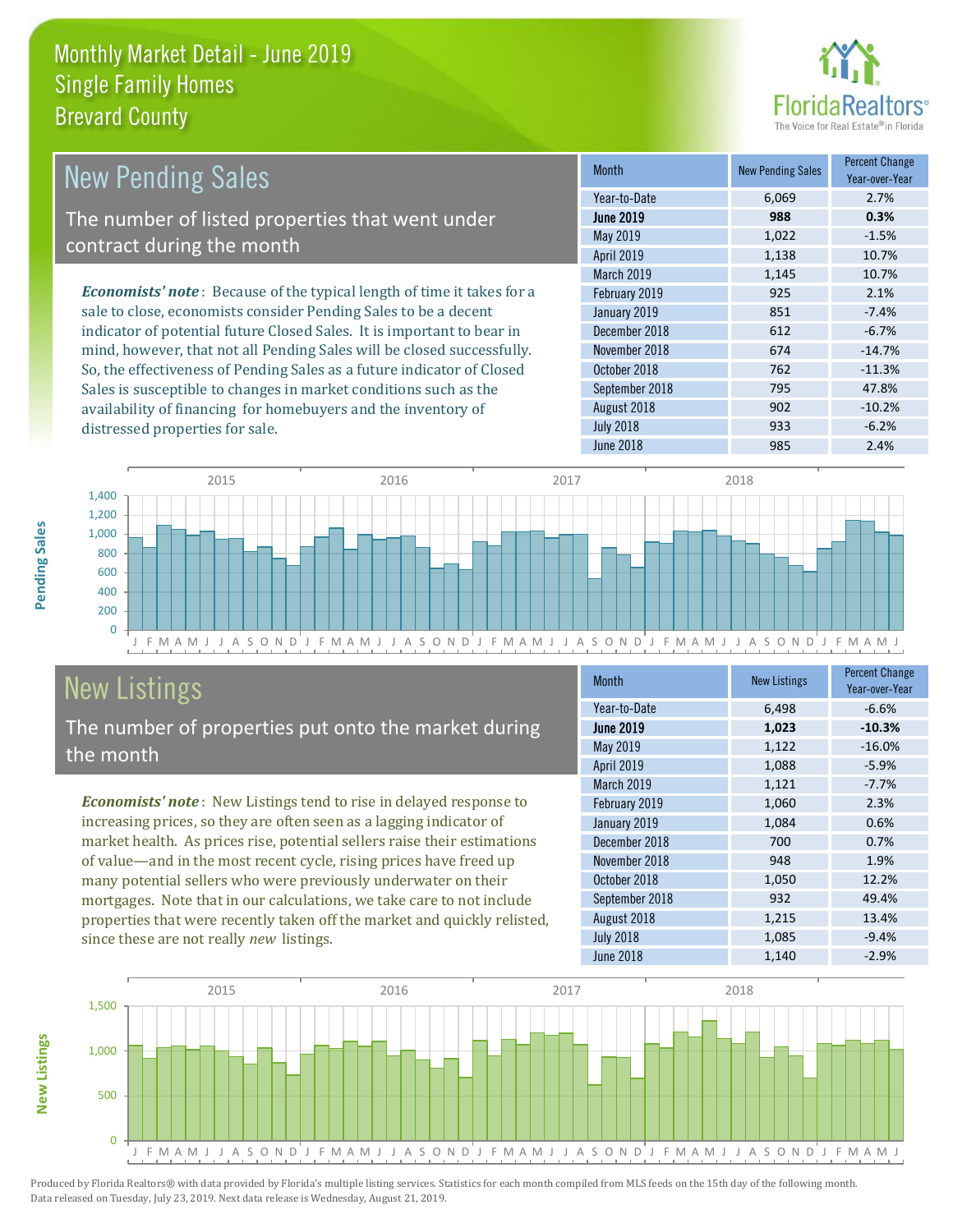distressed properties for sale.



| <b>New Pending Sales</b>                                                       | <b>Month</b>      | <b>New Pending Sales</b> | <b>Percent Change</b><br>Year-over-Year |
|--------------------------------------------------------------------------------|-------------------|--------------------------|-----------------------------------------|
|                                                                                | Year-to-Date      | 6.069                    | 2.7%                                    |
| The number of listed properties that went under                                | <b>June 2019</b>  | 988                      | 0.3%                                    |
| contract during the month                                                      | May 2019          | 1,022                    | $-1.5%$                                 |
|                                                                                | <b>April 2019</b> | 1,138                    | 10.7%                                   |
|                                                                                | <b>March 2019</b> | 1,145                    | 10.7%                                   |
| <b>Economists' note</b> : Because of the typical length of time it takes for a | February 2019     | 925                      | 2.1%                                    |
| sale to close, economists consider Pending Sales to be a decent                | January 2019      | 851                      | $-7.4%$                                 |
| indicator of potential future Closed Sales. It is important to bear in         | December 2018     | 612                      | $-6.7%$                                 |
| mind, however, that not all Pending Sales will be closed successfully.         | November 2018     | 674                      | $-14.7%$                                |
| So, the effectiveness of Pending Sales as a future indicator of Closed         | October 2018      | 762                      | $-11.3%$                                |
| Sales is susceptible to changes in market conditions such as the               | September 2018    | 795                      | 47.8%                                   |



# New Listings

The number of properties put onto the market during the month

availability of financing for homebuyers and the inventory of

*Economists' note* : New Listings tend to rise in delayed response to increasing prices, so they are often seen as a lagging indicator of market health. As prices rise, potential sellers raise their estimations of value—and in the most recent cycle, rising prices have freed up many potential sellers who were previously underwater on their mortgages. Note that in our calculations, we take care to not include properties that were recently taken off the market and quickly relisted, since these are not really *new* listings.

| <b>Month</b>     | <b>New Listings</b> | <b>Percent Change</b><br>Year-over-Year |
|------------------|---------------------|-----------------------------------------|
| Year-to-Date     | 6,498               | $-6.6%$                                 |
| <b>June 2019</b> | 1,023               | $-10.3%$                                |
| <b>May 2019</b>  | 1,122               | $-16.0%$                                |
| April 2019       | 1,088               | $-5.9%$                                 |
| March 2019       | 1,121               | $-7.7%$                                 |
| February 2019    | 1,060               | 2.3%                                    |
| January 2019     | 1,084               | 0.6%                                    |
| December 2018    | 700                 | 0.7%                                    |
| November 2018    | 948                 | 1.9%                                    |
| October 2018     | 1,050               | 12.2%                                   |
| September 2018   | 932                 | 49.4%                                   |
| August 2018      | 1,215               | 13.4%                                   |
| <b>July 2018</b> | 1,085               | $-9.4%$                                 |
| <b>June 2018</b> | 1,140               | $-2.9%$                                 |

August 2018 **902** -10.2% July 2018 **933** -6.2% June 2018 **2.4%** 



Produced by Florida Realtors® with data provided by Florida's multiple listing services. Statistics for each month compiled from MLS feeds on the 15th day of the following month. Data released on Tuesday, July 23, 2019. Next data release is Wednesday, August 21, 2019.

**New Listings**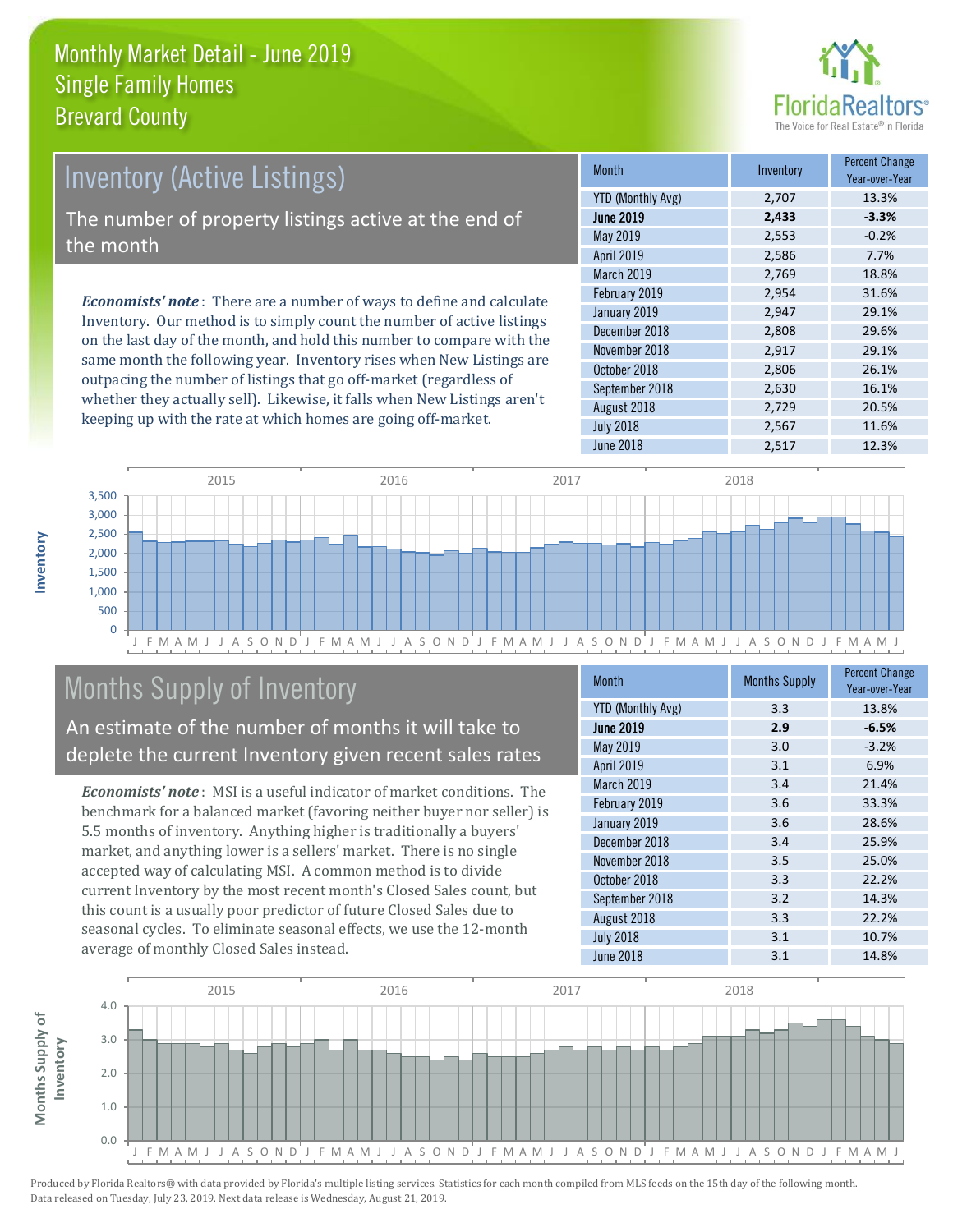

# Inventory (Active Listings) The number of property listings active at the end of the month

*Economists' note* : There are a number of ways to define and calculate Inventory. Our method is to simply count the number of active listings on the last day of the month, and hold this number to compare with the same month the following year. Inventory rises when New Listings are outpacing the number of listings that go off-market (regardless of whether they actually sell). Likewise, it falls when New Listings aren't keeping up with the rate at which homes are going off-market.

| <b>Month</b>             | Inventory | <b>Percent Change</b><br>Year-over-Year |
|--------------------------|-----------|-----------------------------------------|
| <b>YTD (Monthly Avg)</b> | 2,707     | 13.3%                                   |
| <b>June 2019</b>         | 2,433     | $-3.3%$                                 |
| May 2019                 | 2,553     | $-0.2%$                                 |
| April 2019               | 2,586     | 7.7%                                    |
| March 2019               | 2,769     | 18.8%                                   |
| February 2019            | 2,954     | 31.6%                                   |
| January 2019             | 2,947     | 29.1%                                   |
| December 2018            | 2,808     | 29.6%                                   |
| November 2018            | 2,917     | 29.1%                                   |
| October 2018             | 2,806     | 26.1%                                   |
| September 2018           | 2,630     | 16.1%                                   |
| August 2018              | 2,729     | 20.5%                                   |
| <b>July 2018</b>         | 2,567     | 11.6%                                   |
| June 2018                | 2,517     | 12.3%                                   |



# Months Supply of Inventory

An estimate of the number of months it will take to deplete the current Inventory given recent sales rates

*Economists' note* : MSI is a useful indicator of market conditions. The benchmark for a balanced market (favoring neither buyer nor seller) is 5.5 months of inventory. Anything higher is traditionally a buyers' market, and anything lower is a sellers' market. There is no single accepted way of calculating MSI. A common method is to divide current Inventory by the most recent month's Closed Sales count, but this count is a usually poor predictor of future Closed Sales due to seasonal cycles. To eliminate seasonal effects, we use the 12-month average of monthly Closed Sales instead.

| <b>Month</b>             | <b>Months Supply</b> | <b>Percent Change</b><br>Year-over-Year |
|--------------------------|----------------------|-----------------------------------------|
| <b>YTD (Monthly Avg)</b> | 3.3                  | 13.8%                                   |
| <b>June 2019</b>         | 2.9                  | $-6.5%$                                 |
| May 2019                 | 3.0                  | $-3.2%$                                 |
| April 2019               | 3.1                  | 6.9%                                    |
| March 2019               | 3.4                  | 21.4%                                   |
| February 2019            | 3.6                  | 33.3%                                   |
| January 2019             | 3.6                  | 28.6%                                   |
| December 2018            | 3.4                  | 25.9%                                   |
| November 2018            | 3.5                  | 25.0%                                   |
| October 2018             | 3.3                  | 22.2%                                   |
| September 2018           | 3.2                  | 14.3%                                   |
| August 2018              | 3.3                  | 22.2%                                   |
| <b>July 2018</b>         | 3.1                  | 10.7%                                   |
| <b>June 2018</b>         | 3.1                  | 14.8%                                   |

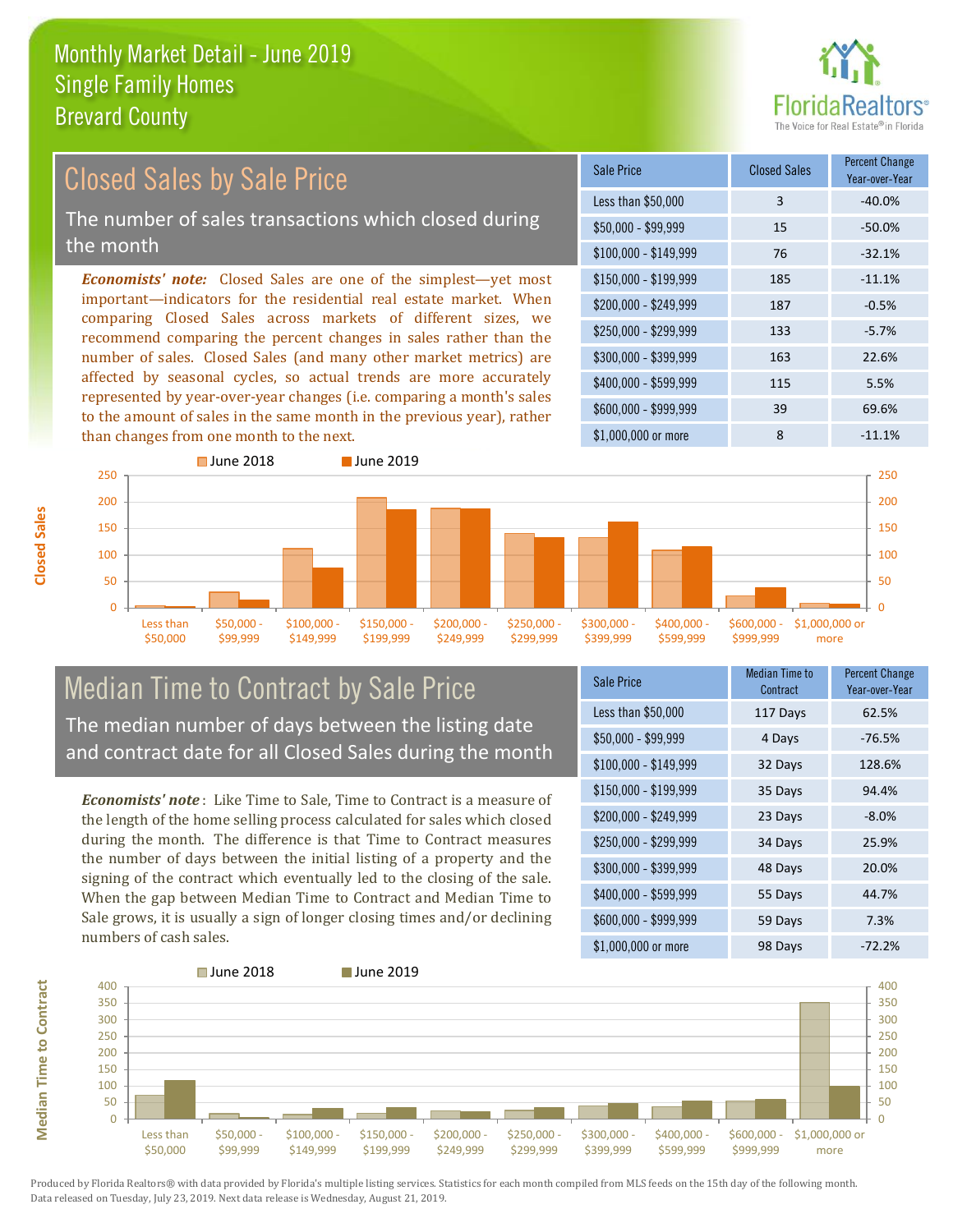

#### *Economists' note:* Closed Sales are one of the simplest—yet most important—indicators for the residential real estate market. When comparing Closed Sales across markets of different sizes, we recommend comparing the percent changes in sales rather than the number of sales. Closed Sales (and many other market metrics) are affected by seasonal cycles, so actual trends are more accurately represented by year-over-year changes (i.e. comparing a month's sales to the amount of sales in the same month in the previous year), rather than changes from one month to the next. \$1,000,000 or more 8 -11.1%  $$250,000 - $299,999$  133  $-5.7\%$ \$300,000 - \$399,999 163 22.6% \$400,000 - \$599,999 115 5.5% \$600,000 - \$999,999 39 69.6% \$150,000 - \$199,999 185 -11.1% \$200,000 - \$249,999 187 -0.5% \$100,000 - \$149,999 76 -32.1% Sale Price Closed Sales Percent Change Year-over-Year Less than \$50,000 3 -40.0% \$50,000 - \$99,999 15 -50.0% Closed Sales by Sale Price The number of sales transactions which closed during the month



### Median Time to Contract by Sale Price The median number of days between the listing date and contract date for all Closed Sales during the month

*Economists' note* : Like Time to Sale, Time to Contract is a measure of the length of the home selling process calculated for sales which closed during the month. The difference is that Time to Contract measures the number of days between the initial listing of a property and the signing of the contract which eventually led to the closing of the sale. When the gap between Median Time to Contract and Median Time to Sale grows, it is usually a sign of longer closing times and/or declining numbers of cash sales.

| <b>Sale Price</b>     | <b>Median Time to</b><br>Contract | <b>Percent Change</b><br>Year-over-Year |
|-----------------------|-----------------------------------|-----------------------------------------|
| Less than \$50,000    | 117 Days                          | 62.5%                                   |
| $$50,000 - $99,999$   | 4 Days                            | $-76.5%$                                |
| $$100,000 - $149,999$ | 32 Days                           | 128.6%                                  |
| $$150,000 - $199,999$ | 35 Days                           | 94.4%                                   |
| \$200,000 - \$249,999 | 23 Days                           | $-8.0\%$                                |
| \$250,000 - \$299,999 | 34 Days                           | 25.9%                                   |
| \$300,000 - \$399,999 | 48 Days                           | 20.0%                                   |
| \$400,000 - \$599,999 | 55 Days                           | 44.7%                                   |
| \$600,000 - \$999,999 | 59 Days                           | 7.3%                                    |
| \$1,000,000 or more   | 98 Days                           | $-72.2%$                                |

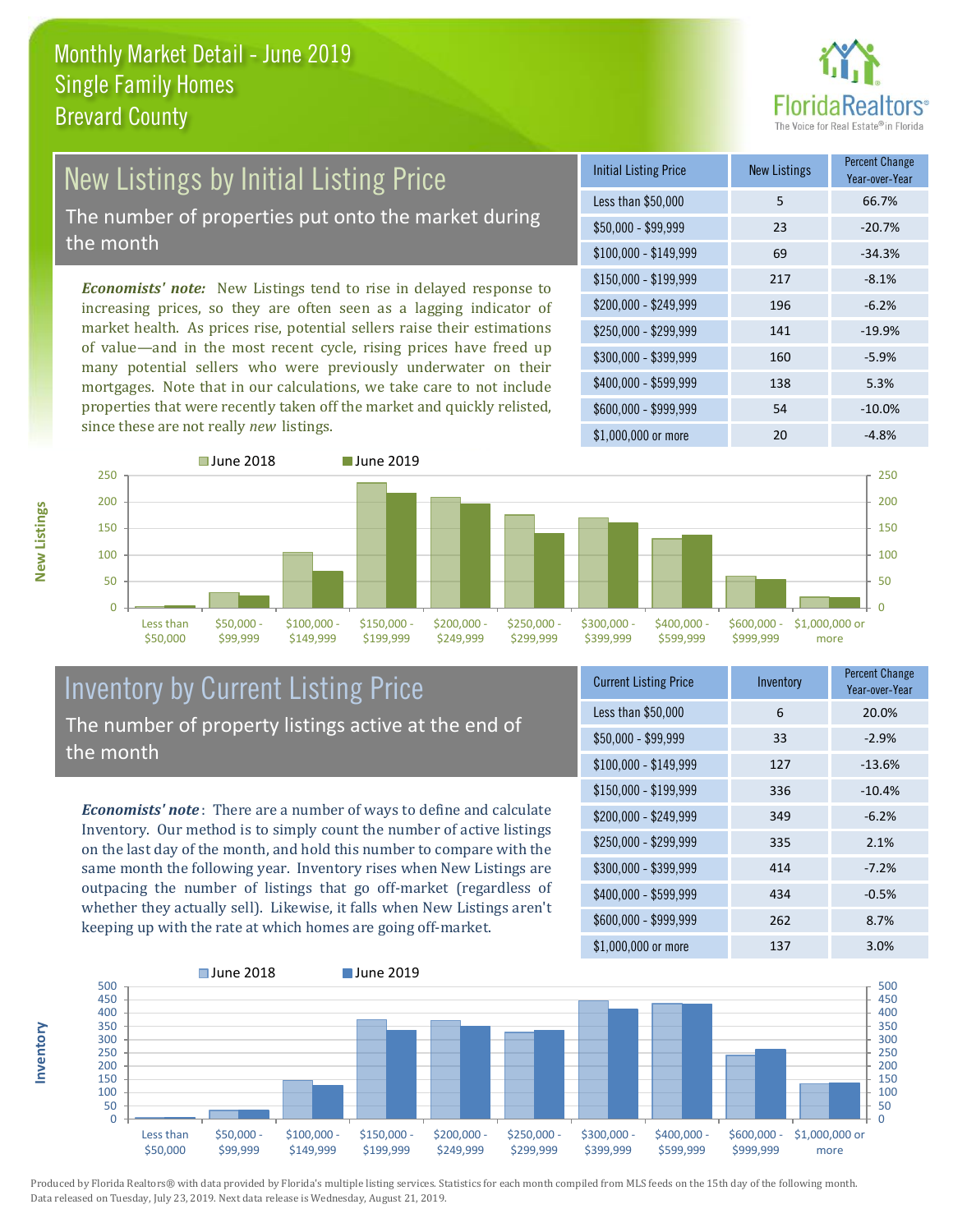

# New Listings by Initial Listing Price

The number of properties put onto the market during the month

*Economists' note:* New Listings tend to rise in delayed response to increasing prices, so they are often seen as a lagging indicator of market health. As prices rise, potential sellers raise their estimations of value—and in the most recent cycle, rising prices have freed up many potential sellers who were previously underwater on their mortgages. Note that in our calculations, we take care to not include properties that were recently taken off the market and quickly relisted, since these are not really *new* listings.

| <b>Initial Listing Price</b> | <b>New Listings</b> | <b>Percent Change</b><br>Year-over-Year |
|------------------------------|---------------------|-----------------------------------------|
| Less than \$50,000           | 5                   | 66.7%                                   |
| $$50,000 - $99,999$          | 23                  | $-20.7%$                                |
| $$100,000 - $149,999$        | 69                  | $-34.3%$                                |
| $$150,000 - $199,999$        | 217                 | $-8.1%$                                 |
| \$200,000 - \$249,999        | 196                 | $-6.2%$                                 |
| \$250,000 - \$299,999        | 141                 | $-19.9%$                                |
| \$300,000 - \$399,999        | 160                 | $-5.9%$                                 |
| \$400,000 - \$599,999        | 138                 | 5.3%                                    |
| \$600,000 - \$999,999        | 54                  | $-10.0%$                                |
| \$1,000,000 or more          | 20                  | $-4.8%$                                 |



### Inventory by Current Listing Price The number of property listings active at the end of the month

*Economists' note* : There are a number of ways to define and calculate Inventory. Our method is to simply count the number of active listings on the last day of the month, and hold this number to compare with the same month the following year. Inventory rises when New Listings are outpacing the number of listings that go off-market (regardless of whether they actually sell). Likewise, it falls when New Listings aren't keeping up with the rate at which homes are going off-market.

| <b>Current Listing Price</b> | Inventory | <b>Percent Change</b><br>Year-over-Year |
|------------------------------|-----------|-----------------------------------------|
| Less than \$50,000           | 6         | 20.0%                                   |
| $$50,000 - $99,999$          | 33        | $-2.9%$                                 |
| $$100,000 - $149,999$        | 127       | $-13.6%$                                |
| $$150,000 - $199,999$        | 336       | $-10.4%$                                |
| \$200,000 - \$249,999        | 349       | $-6.2%$                                 |
| \$250,000 - \$299,999        | 335       | 2.1%                                    |
| \$300,000 - \$399,999        | 414       | $-7.2%$                                 |
| \$400,000 - \$599,999        | 434       | $-0.5%$                                 |
| \$600,000 - \$999,999        | 262       | 8.7%                                    |
| \$1,000,000 or more          | 137       | 3.0%                                    |



Produced by Florida Realtors® with data provided by Florida's multiple listing services. Statistics for each month compiled from MLS feeds on the 15th day of the following month. Data released on Tuesday, July 23, 2019. Next data release is Wednesday, August 21, 2019.

**Inventory**